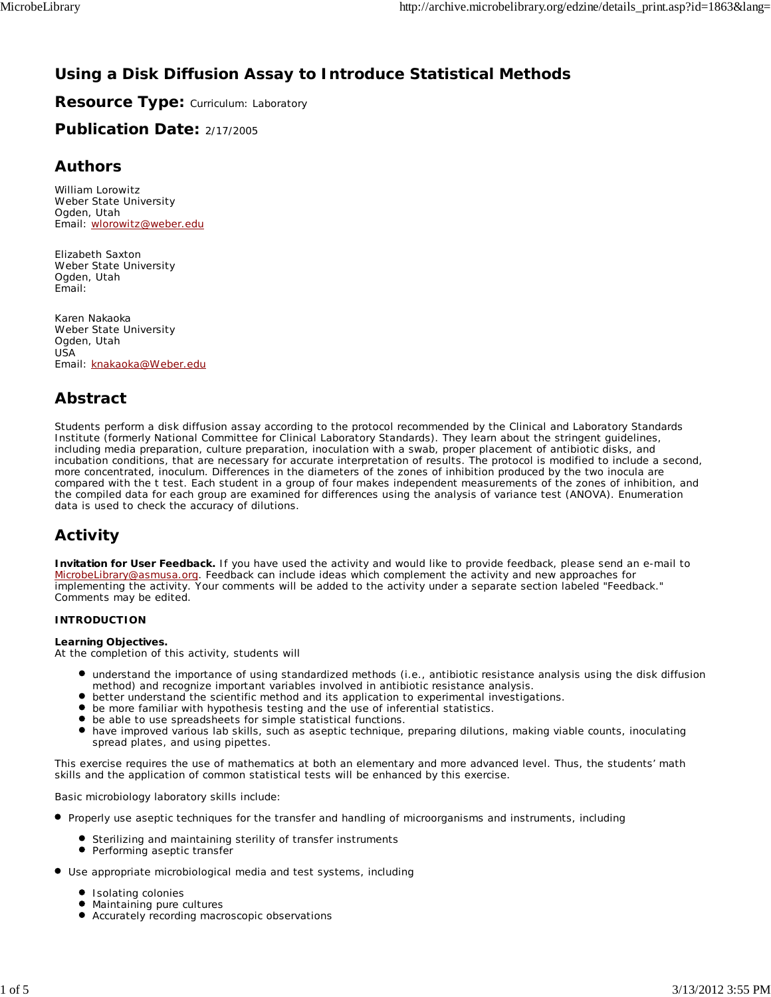# **Using a Disk Diffusion Assay to Introduce Statistical Methods**

**Resource Type: Curriculum: Laboratory** 

**Publication Date:** 2/17/2005

## **Authors**

*William Lorowitz* Weber State University Ogden, Utah Email: wlorowitz@weber.edu

*Elizabeth Saxton* Weber State University Ogden, Utah Email:

*Karen Nakaoka* Weber State University Ogden, Utah USA Email: knakaoka@Weber.edu

## **Abstract**

Students perform a disk diffusion assay according to the protocol recommended by the Clinical and Laboratory Standards Institute (formerly National Committee for Clinical Laboratory Standards). They learn about the stringent guidelines, including media preparation, culture preparation, inoculation with a swab, proper placement of antibiotic disks, and incubation conditions, that are necessary for accurate interpretation of results. The protocol is modified to include a second, more concentrated, inoculum. Differences in the diameters of the zones of inhibition produced by the two inocula are compared with the *t* test. Each student in a group of four makes independent measurements of the zones of inhibition, and the compiled data for each group are examined for differences using the analysis of variance test (ANOVA). Enumeration data is used to check the accuracy of dilutions.

# **Activity**

**Invitation for User Feedback.** If you have used the activity and would like to provide feedback, please send an e-mail to MicrobeLibrary@asmusa.org. Feedback can include ideas which complement the activity and new approaches for implementing the activity. Your comments will be added to the activity under a separate section labeled "Feedback." Comments may be edited.

### **INTRODUCTION**

### **Learning Objectives.**

At the completion of this activity, students will

- understand the importance of using standardized methods (i.e., antibiotic resistance analysis using the disk diffusion method) and recognize important variables involved in antibiotic resistance analysis.
- better understand the scientific method and its application to experimental investigations.
- be more familiar with hypothesis testing and the use of inferential statistics.
- be able to use spreadsheets for simple statistical functions.
- have improved various lab skills, such as aseptic technique, preparing dilutions, making viable counts, inoculating spread plates, and using pipettes.

This exercise requires the use of mathematics at both an elementary and more advanced level. Thus, the students' math skills and the application of common statistical tests will be enhanced by this exercise.

Basic microbiology laboratory skills include:

- Properly use aseptic techniques for the transfer and handling of microorganisms and instruments, including
	- **•** Sterilizing and maintaining sterility of transfer instruments
	- $\bullet$ Performing aseptic transfer
- Use appropriate microbiological media and test systems, including
	- **Isolating colonies**
	- $\bullet$  Maintaining pure cultures
	- Accurately recording macroscopic observations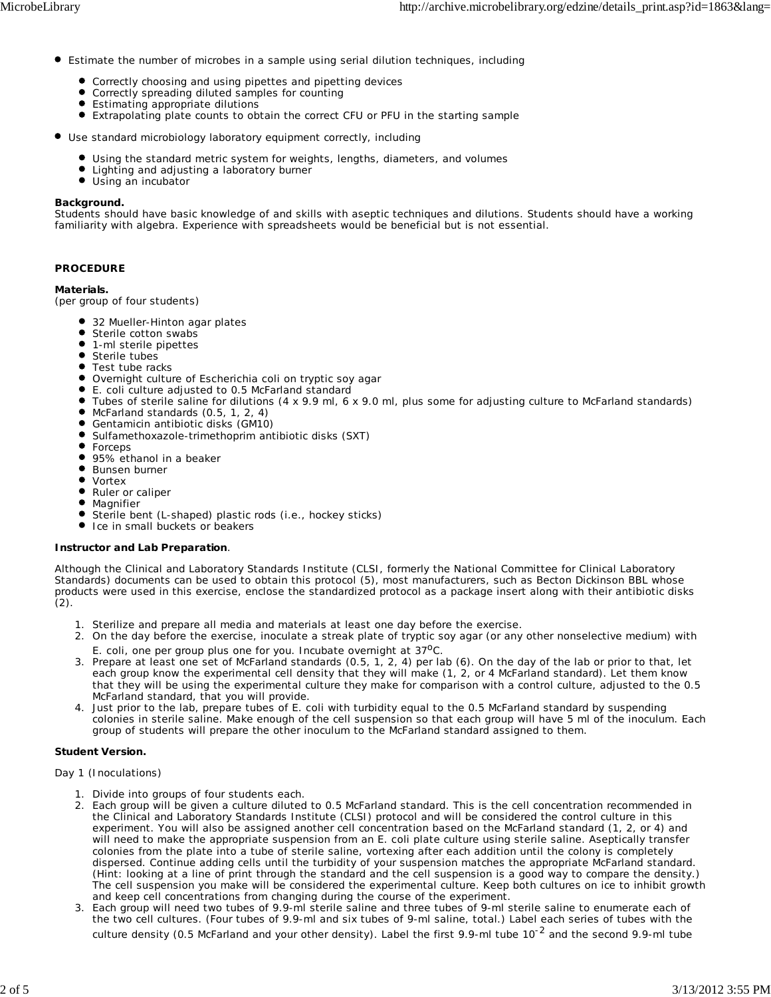- Estimate the number of microbes in a sample using serial dilution techniques, including
	- **•** Correctly choosing and using pipettes and pipetting devices
	- Correctly spreading diluted samples for counting
	- Estimating appropriate dilutions
	- $\bullet$ Extrapolating plate counts to obtain the correct CFU or PFU in the starting sample
- Use standard microbiology laboratory equipment correctly, including
	- Using the standard metric system for weights, lengths, diameters, and volumes
	- **•** Lighting and adjusting a laboratory burner
	- $\bullet$  Using an incubator

#### **Background.**

Students should have basic knowledge of and skills with aseptic techniques and dilutions. Students should have a working familiarity with algebra. Experience with spreadsheets would be beneficial but is not essential.

#### **PROCEDURE**

#### **Materials.**

(per group of four students)

- 32 Mueller-Hinton agar plates
- **Sterile cotton swabs**
- 1-ml sterile pipettes
- Sterile tubes
- **•** Test tube racks
- Overnight culture of *Escherichia coli* on tryptic soy agar
- *E. coli* culture adjusted to 0.5 McFarland standard
- Tubes of sterile saline for dilutions (4 x 9.9 ml, 6 x 9.0 ml, plus some for adjusting culture to McFarland standards)
- McFarland standards (0.5, 1, 2, 4)  $\bullet$
- $\bullet$ Gentamicin antibiotic disks (GM10)
- Sulfamethoxazole-trimethoprim antibiotic disks (SXT)
- $\bullet$ Forceps
- 95% ethanol in a beaker
- **•** Bunsen burner
- Vortex
- $\bullet$ Ruler or caliper
- Magnifier
- Sterile bent (L-shaped) plastic rods (i.e., hockey sticks)
- Ice in small buckets or beakers

#### **Instructor and Lab Preparation**.

Although the Clinical and Laboratory Standards Institute (CLSI, formerly the National Committee for Clinical Laboratory Standards) documents can be used to obtain this protocol (5), most manufacturers, such as Becton Dickinson BBL whose products were used in this exercise, enclose the standardized protocol as a package insert along with their antibiotic disks  $(2).$ 

- 1. Sterilize and prepare all media and materials at least one day before the exercise.
- 2. On the day before the exercise, inoculate a streak plate of tryptic soy agar (or any other nonselective medium) with *E. coli*, one per group plus one for you. Incubate overnight at 37<sup>o</sup>C.
- 3. Prepare at least one set of McFarland standards (0.5, 1, 2, 4) per lab (6). On the day of the lab or prior to that, let each group know the experimental cell density that they will make (1, 2, or 4 McFarland standard). Let them know that they will be using the experimental culture they make for comparison with a control culture, adjusted to the 0.5 McFarland standard, that you will provide.
- 4. Just prior to the lab, prepare tubes of E. coli with turbidity equal to the 0.5 McFarland standard by suspending colonies in sterile saline. Make enough of the cell suspension so that each group will have 5 ml of the inoculum. Each group of students will prepare the other inoculum to the McFarland standard assigned to them.

### **Student Version.**

#### *Day 1 (Inoculations)*

- 1. Divide into groups of four students each.
- 2. Each group will be given a culture diluted to 0.5 McFarland standard. This is the cell concentration recommended in the Clinical and Laboratory Standards Institute (CLSI) protocol and will be considered the control culture in this experiment. You will also be assigned another cell concentration based on the McFarland standard (1, 2, or 4) and will need to make the appropriate suspension from an *E. coli* plate culture using sterile saline. Aseptically transfer colonies from the plate into a tube of sterile saline, vortexing after each addition until the colony is completely dispersed. Continue adding cells until the turbidity of your suspension matches the appropriate McFarland standard. (Hint: looking at a line of print through the standard and the cell suspension is a good way to compare the density.) The cell suspension you make will be considered the experimental culture. Keep both cultures on ice to inhibit growth and keep cell concentrations from changing during the course of the experiment.
- Each group will need two tubes of 9.9-ml sterile saline and three tubes of 9-ml sterile saline to enumerate each of 3. the two cell cultures. (Four tubes of 9.9-ml and six tubes of 9-ml saline, total.) Label each series of tubes with the culture density (0.5 McFarland and your other density). Label the first 9.9-ml tube  $10^{-2}$  and the second 9.9-ml tube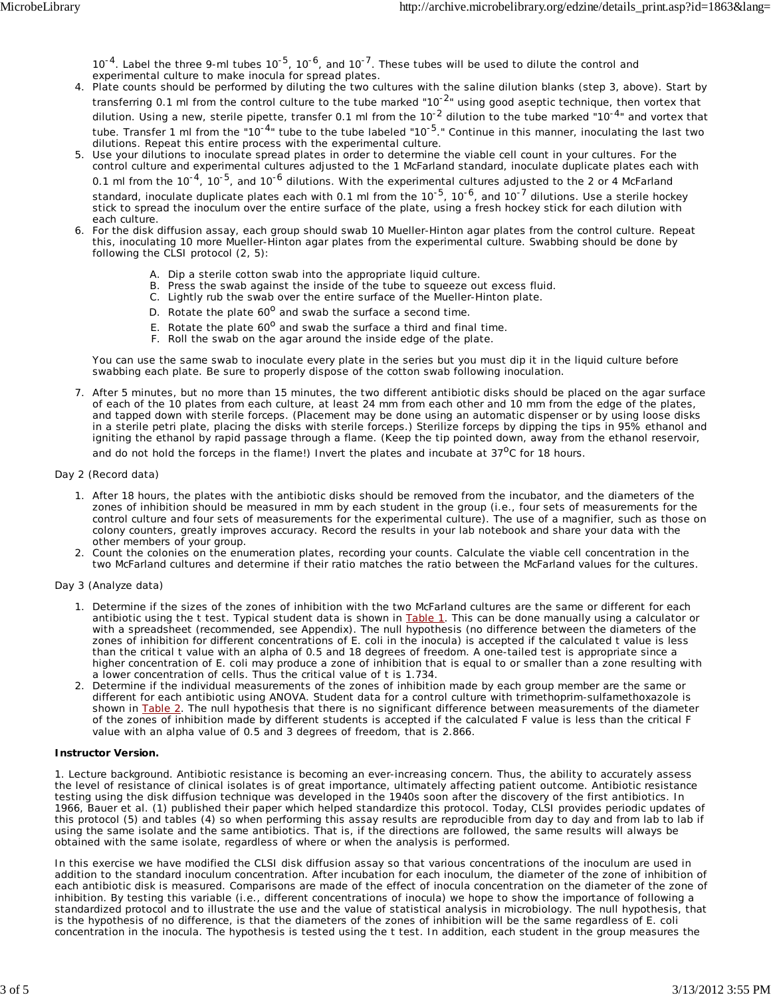10<sup>-4</sup>. Label the three 9-ml tubes 10<sup>-5</sup>, 10<sup>-6</sup>, and 10<sup>-7</sup>. These tubes will be used to dilute the control and experimental culture to make inocula for spread plates.

- Plate counts should be performed by diluting the two cultures with the saline dilution blanks (step 3, above). Start by 4. transferring 0.1 ml from the control culture to the tube marked "10<sup>-2</sup>" using good aseptic technique, then vortex that dilution. Using a new, sterile pipette, transfer 0.1 ml from the 10<sup>-2</sup> dilution to the tube marked "10<sup>-4</sup>" and vortex that tube. Transfer 1 ml from the "10<sup>-4</sup>" tube to the tube labeled "10<sup>-5</sup>." Continue in this manner, inoculating the last two dilutions. Repeat this entire process with the experimental culture.
- 5. Use your dilutions to inoculate spread plates in order to determine the viable cell count in your cultures. For the control culture and experimental cultures adjusted to the 1 McFarland standard, inoculate duplicate plates each with 0.1 ml from the  $10^{-4}$ ,  $10^{-5}$ , and  $10^{-6}$  dilutions. With the experimental cultures adjusted to the 2 or 4 McFarland standard, inoculate duplicate plates each with 0.1 ml from the 10<sup>-5</sup>, 10<sup>-6</sup>, and 10<sup>-7</sup> dilutions. Use a sterile hockey stick to spread the inoculum over the entire surface of the plate, using a fresh hockey stick for each dilution with each culture.
- For the disk diffusion assay, each group should swab 10 Mueller-Hinton agar plates from the control culture. Repeat 6. this, inoculating 10 more Mueller-Hinton agar plates from the experimental culture. Swabbing should be done by following the CLSI protocol (2, 5):
	- A. Dip a sterile cotton swab into the appropriate liquid culture.
	- B. Press the swab against the inside of the tube to squeeze out excess fluid.
	- C. Lightly rub the swab over the entire surface of the Mueller-Hinton plate.
	- D. Rotate the plate  $60^0$  and swab the surface a second time.
	- E. Rotate the plate  $60^{\circ}$  and swab the surface a third and final time.
	- F. Roll the swab on the agar around the inside edge of the plate.

You can use the same swab to inoculate every plate in the series but you must dip it in the liquid culture before swabbing each plate. Be sure to properly dispose of the cotton swab following inoculation.

After 5 minutes, but no more than 15 minutes, the two different antibiotic disks should be placed on the agar surface 7. of each of the 10 plates from each culture, at least 24 mm from each other and 10 mm from the edge of the plates, and tapped down with sterile forceps. (Placement may be done using an automatic dispenser or by using loose disks in a sterile petri plate, placing the disks with sterile forceps.) Sterilize forceps by dipping the tips in 95% ethanol and igniting the ethanol by rapid passage through a flame. (Keep the tip pointed down, away from the ethanol reservoir, and do not hold the forceps in the flame!) Invert the plates and incubate at  $37^{\circ}$ C for 18 hours.

#### *Day 2 (Record data)*

- 1. After 18 hours, the plates with the antibiotic disks should be removed from the incubator, and the diameters of the zones of inhibition should be measured in mm by each student in the group (i.e., four sets of measurements for the control culture and four sets of measurements for the experimental culture). The use of a magnifier, such as those on colony counters, greatly improves accuracy. Record the results in your lab notebook and share your data with the other members of your group.
- 2. Count the colonies on the enumeration plates, recording your counts. Calculate the viable cell concentration in the two McFarland cultures and determine if their ratio matches the ratio between the McFarland values for the cultures.

#### *Day 3 (Analyze data)*

- 1. Determine if the sizes of the zones of inhibition with the two McFarland cultures are the same or different for each antibiotic using the *t* test. Typical student data is shown in Table 1. This can be done manually using a calculator or with a spreadsheet (recommended, see Appendix). The null hypothesis (no difference between the diameters of the zones of inhibition for different concentrations of *E. coli* in the inocula) is accepted if the calculated *t* value is less than the critical *t* value with an alpha of 0.5 and 18 degrees of freedom. A one-tailed test is appropriate since a higher concentration of *E. coli* may produce a zone of inhibition that is equal to or smaller than a zone resulting with a lower concentration of cells. Thus the critical value of *t* is 1.734.
- 2. Determine if the individual measurements of the zones of inhibition made by each group member are the same or different for each antibiotic using ANOVA. Student data for a control culture with trimethoprim-sulfamethoxazole is shown in Table 2. The null hypothesis that there is no significant difference between measurements of the diameter of the zones of inhibition made by different students is accepted if the calculated *F* value is less than the critical *F* value with an alpha value of 0.5 and 3 degrees of freedom, that is 2.866.

#### **Instructor Version.**

1. *Lecture background.* Antibiotic resistance is becoming an ever-increasing concern. Thus, the ability to accurately assess the level of resistance of clinical isolates is of great importance, ultimately affecting patient outcome. Antibiotic resistance testing using the disk diffusion technique was developed in the 1940s soon after the discovery of the first antibiotics. In 1966, Bauer et al. (1) published their paper which helped standardize this protocol. Today, CLSI provides periodic updates of this protocol (5) and tables (4) so when performing this assay results are reproducible from day to day and from lab to lab if using the same isolate and the same antibiotics. That is, if the directions are followed, the same results will always be obtained with the same isolate, regardless of where or when the analysis is performed.

In this exercise we have modified the CLSI disk diffusion assay so that various concentrations of the inoculum are used in addition to the standard inoculum concentration. After incubation for each inoculum, the diameter of the zone of inhibition of each antibiotic disk is measured. Comparisons are made of the effect of inocula concentration on the diameter of the zone of inhibition. By testing this variable (i.e., different concentrations of inocula) we hope to show the importance of following a standardized protocol and to illustrate the use and the value of statistical analysis in microbiology. The null hypothesis, that is the hypothesis of no difference, is that the diameters of the zones of inhibition will be the same regardless of *E. coli* concentration in the inocula. The hypothesis is tested using the *t* test. In addition, each student in the group measures the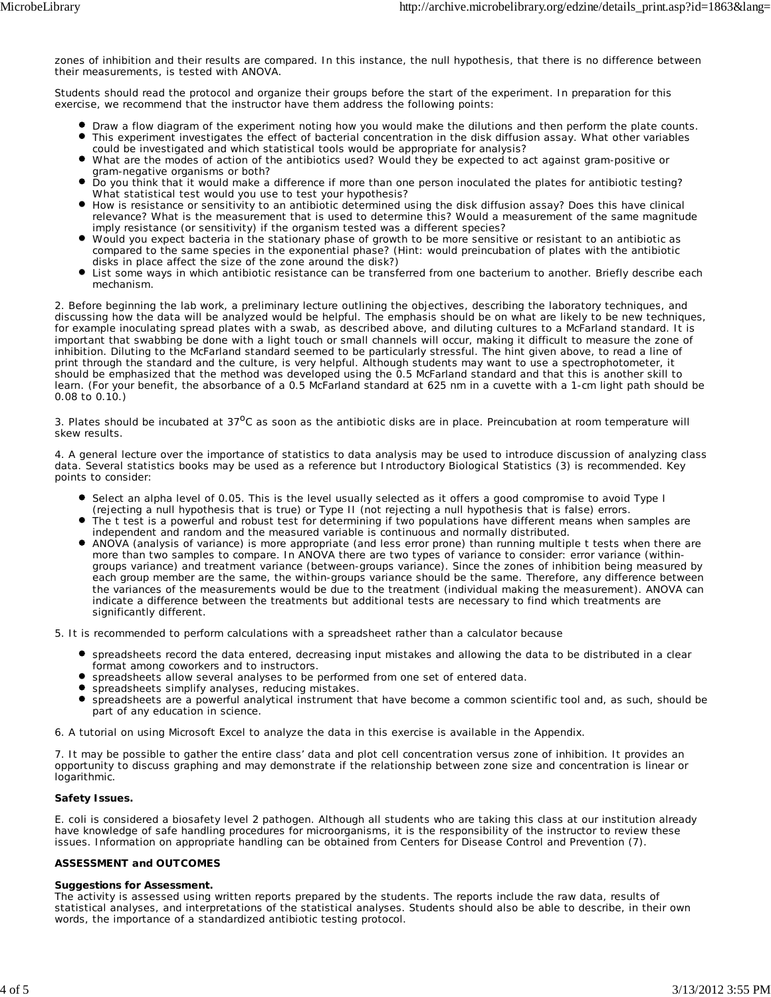zones of inhibition and their results are compared. In this instance, the null hypothesis, that there is no difference between their measurements, is tested with ANOVA.

Students should read the protocol and organize their groups before the start of the experiment. In preparation for this exercise, we recommend that the instructor have them address the following points:

- Draw a flow diagram of the experiment noting how you would make the dilutions and then perform the plate counts. This experiment investigates the effect of bacterial concentration in the disk diffusion assay. What other variables could be investigated and which statistical tools would be appropriate for analysis?
- What are the modes of action of the antibiotics used? Would they be expected to act against gram-positive or  $\bullet$ gram-negative organisms or both?
- Do you think that it would make a difference if more than one person inoculated the plates for antibiotic testing? What statistical test would you use to test your hypothesis?
- How is resistance or sensitivity to an antibiotic determined using the disk diffusion assay? Does this have clinical relevance? What is the measurement that is used to determine this? Would a measurement of the same magnitude imply resistance (or sensitivity) if the organism tested was a different species?
- $\bullet$ Would you expect bacteria in the stationary phase of growth to be more sensitive or resistant to an antibiotic as compared to the same species in the exponential phase? (Hint: would preincubation of plates with the antibiotic disks in place affect the size of the zone around the disk?)
- List some ways in which antibiotic resistance can be transferred from one bacterium to another. Briefly describe each mechanism.

2. Before beginning the lab work, a preliminary lecture outlining the objectives, describing the laboratory techniques, and discussing how the data will be analyzed would be helpful. The emphasis should be on what are likely to be new techniques, for example inoculating spread plates with a swab, as described above, and diluting cultures to a McFarland standard. It is important that swabbing be done with a light touch or small channels will occur, making it difficult to measure the zone of inhibition. Diluting to the McFarland standard seemed to be particularly stressful. The hint given above, to read a line of print through the standard and the culture, is very helpful. Although students may want to use a spectrophotometer, it should be emphasized that the method was developed using the 0.5 McFarland standard and that this is another skill to learn. (For your benefit, the absorbance of a 0.5 McFarland standard at 625 nm in a cuvette with a 1-cm light path should be 0.08 to 0.10.)

3. Plates should be incubated at  $37^{\circ}$ C as soon as the antibiotic disks are in place. Preincubation at room temperature will skew results.

4. A general lecture over the importance of statistics to data analysis may be used to introduce discussion of analyzing class data. Several statistics books may be used as a reference but *Introductory Biological Statistics* (3) is recommended. Key points to consider:

- Select an alpha level of 0.05. This is the level usually selected as it offers a good compromise to avoid Type I
- (rejecting a null hypothesis that is true) or Type II (not rejecting a null hypothesis that is false) errors.
- The *t* test is a powerful and robust test for determining if two populations have different means when samples are independent and random and the measured variable is continuous and normally distributed.
- ANOVA (analysis of variance) is more appropriate (and less error prone) than running multiple *t* tests when there are more than two samples to compare. In ANOVA there are two types of variance to consider: error variance (withingroups variance) and treatment variance (between-groups variance). Since the zones of inhibition being measured by each group member are the same, the within-groups variance should be the same. Therefore, any difference between the variances of the measurements would be due to the treatment (individual making the measurement). ANOVA can indicate a difference between the treatments but additional tests are necessary to find which treatments are significantly different.
- 5. It is recommended to perform calculations with a spreadsheet rather than a calculator because
	- spreadsheets record the data entered, decreasing input mistakes and allowing the data to be distributed in a clear format among coworkers and to instructors.
	- spreadsheets allow several analyses to be performed from one set of entered data.
	- **spreadsheets simplify analyses, reducing mistakes.**
	- spreadsheets are a powerful analytical instrument that have become a common scientific tool and, as such, should be part of any education in science.

6. A tutorial on using Microsoft Excel to analyze the data in this exercise is available in the Appendix.

7. It may be possible to gather the entire class' data and plot cell concentration versus zone of inhibition. It provides an opportunity to discuss graphing and may demonstrate if the relationship between zone size and concentration is linear or logarithmic.

#### **Safety Issues.**

*E. coli* is considered a biosafety level 2 pathogen. Although all students who are taking this class at our institution already have knowledge of safe handling procedures for microorganisms, it is the responsibility of the instructor to review these issues. Information on appropriate handling can be obtained from Centers for Disease Control and Prevention (7).

#### **ASSESSMENT and OUTCOMES**

#### **Suggestions for Assessment.**

The activity is assessed using written reports prepared by the students. The reports include the raw data, results of statistical analyses, and interpretations of the statistical analyses. Students should also be able to describe, in their own words, the importance of a standardized antibiotic testing protocol.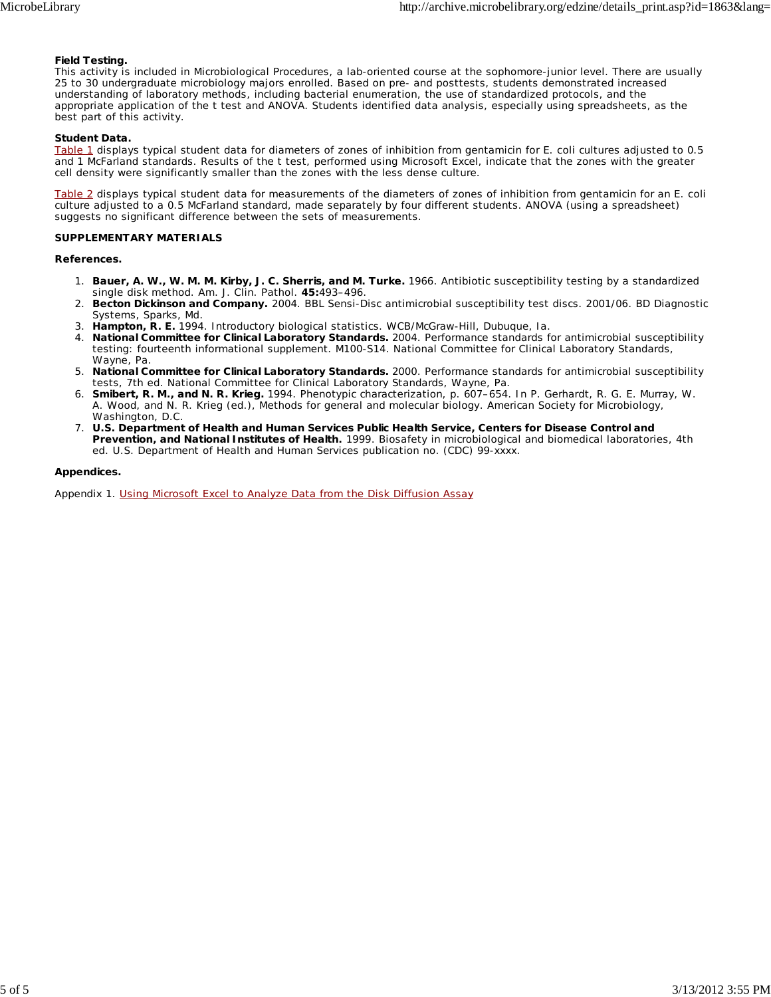#### **Field Testing.**

This activity is included in Microbiological Procedures, a lab-oriented course at the sophomore-junior level. There are usually 25 to 30 undergraduate microbiology majors enrolled. Based on pre- and posttests, students demonstrated increased understanding of laboratory methods, including bacterial enumeration, the use of standardized protocols, and the appropriate application of the *t* test and ANOVA. Students identified data analysis, especially using spreadsheets, as the best part of this activity.

#### **Student Data.**

Table 1 displays typical student data for diameters of zones of inhibition from gentamicin for *E. coli* cultures adjusted to 0.5 and 1 McFarland standards. Results of the *t* test, performed using Microsoft Excel, indicate that the zones with the greater cell density were significantly smaller than the zones with the less dense culture.

Table 2 displays typical student data for measurements of the diameters of zones of inhibition from gentamicin for an *E. coli* culture adjusted to a 0.5 McFarland standard, made separately by four different students. ANOVA (using a spreadsheet) suggests no significant difference between the sets of measurements.

#### **SUPPLEMENTARY MATERIALS**

#### **References.**

- 1. Bauer, A. W., W. M. M. Kirby, J. C. Sherris, and M. Turke. 1966. Antibiotic susceptibility testing by a standardized single disk method. Am. J. Clin. Pathol. **45:**493–496.
- **Becton Dickinson and Company.** 2004. BBL Sensi-Disc antimicrobial susceptibility test discs. 2001/06. BD Diagnostic 2. Systems, Sparks, Md.
- 3. **Hampton, R. E.** 1994. Introductory biological statistics. WCB/McGraw-Hill, Dubuque, Ia.
- **National Committee for Clinical Laboratory Standards.** 2004. Performance standards for antimicrobial susceptibility 4. testing: fourteenth informational supplement. M100-S14. National Committee for Clinical Laboratory Standards, Wayne, Pa.
- **National Committee for Clinical Laboratory Standards.** 2000. Performance standards for antimicrobial susceptibility 5. tests, 7th ed. National Committee for Clinical Laboratory Standards, Wayne, Pa.
- **Smibert, R. M., and N. R. Krieg.** 1994. Phenotypic characterization, p. 607–654. *In* P. Gerhardt, R. G. E. Murray, W. 6. A. Wood, and N. R. Krieg (ed.), Methods for general and molecular biology. American Society for Microbiology, Washington, D.C.
- **U.S. Department of Health and Human Services Public Health Service, Centers for Disease Control and** 7. **Prevention, and National Institutes of Health.** 1999. Biosafety in microbiological and biomedical laboratories, 4th ed. U.S. Department of Health and Human Services publication no. (CDC) 99-xxxx.

#### **Appendices.**

Appendix 1. Using Microsoft Excel to Analyze Data from the Disk Diffusion Assay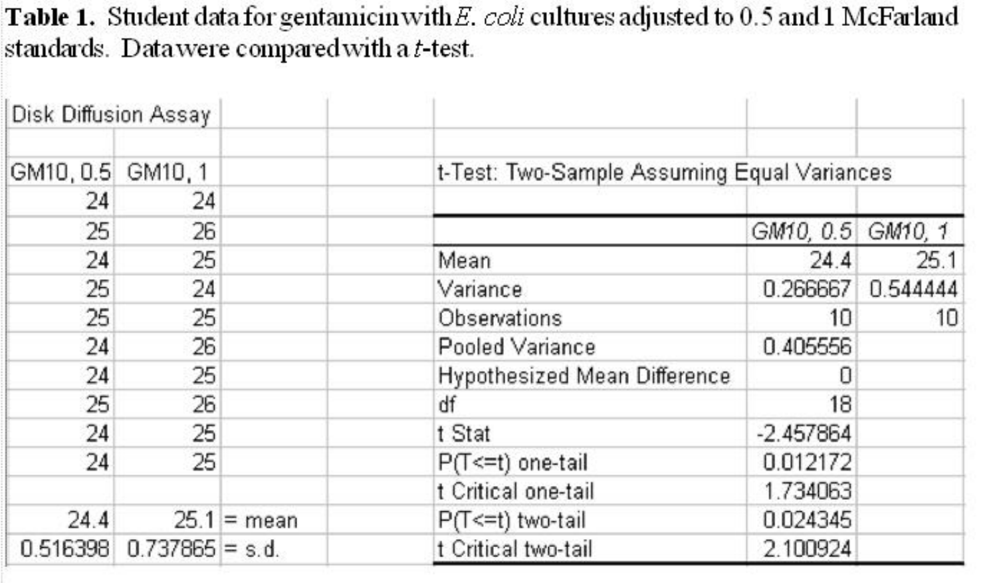**Table 1.** Student data for gentamic in with E. coli cultures adjusted to 0.5 and 1 McFarland standards. Data were compared with a t-test.

| Disk Diffusion Assay |                              |               |                                             |                   |          |
|----------------------|------------------------------|---------------|---------------------------------------------|-------------------|----------|
| GM10, 0.5 GM10, 1    |                              |               | t-Test: Two-Sample Assuming Equal Variances |                   |          |
| 24                   | 24                           |               |                                             |                   |          |
| 25                   | 26                           |               |                                             | GM10, 0.5 GM10, 1 |          |
| 24                   | 25                           |               | Mean                                        | 24.4              | 25.1     |
| 25                   | 24                           |               | Variance                                    | 0.266667          | 0.544444 |
| 25                   | 25                           |               | Observations                                | 10                | 10       |
| 24                   | 26                           |               | Pooled Variance                             | 0.405556          |          |
| 24                   | 25                           |               | <b>Hypothesized Mean Difference</b>         |                   |          |
| 25                   | 26                           |               | df                                          | 18                |          |
| 24                   | 25                           |               | t Stat                                      | $-2.457864$       |          |
| 24                   | 25                           |               | P(T <= t) one-tail                          | 0.012172          |          |
|                      |                              |               | t Critical one-tail                         | 1.734063          |          |
| 24.4                 |                              | $25.1$ = mean | P(T<=t) two-tail                            | 0.024345          |          |
|                      | $0.516398$ $0.737865 = s.d.$ |               | t Critical two-tail                         | 2.100924          |          |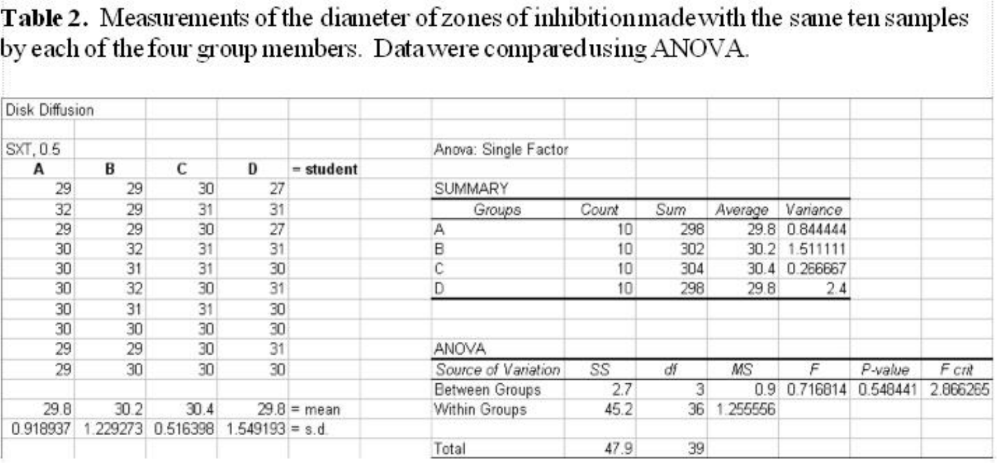Table 2. Measurements of the diameter of zones of inhibition made with the same ten samples by each of the four group members. Data were compared using ANOVA.

| Disk Diffusion |        |          |                  |               |                       |       |     |         |               |          |          |
|----------------|--------|----------|------------------|---------------|-----------------------|-------|-----|---------|---------------|----------|----------|
| SXT, 0.5       |        |          |                  |               | Anova: Single Factor  |       |     |         |               |          |          |
| A              | В      | C        | Ð                | $=$ student   |                       |       |     |         |               |          |          |
| 29             | 29     | 30       | 27               |               | SUMMARY               |       |     |         |               |          |          |
| 32             | 29     | 31       | 31               |               | Groups                | Count | Sum | Average | Variance      |          |          |
| 29             | 29     | 30       | 27               |               |                       | 10    | 298 |         | 29.8 0.844444 |          |          |
| 30             | 32     | 31       | 31               |               | в                     | 10    | 302 |         | 30.2 1.511111 |          |          |
| 30             | 31     | 31       | 30               |               | С                     | 10    | 304 |         | 30.4 0.266667 |          |          |
| 30             | 32     | 30       | 31               |               |                       | 10    | 298 | 29.8    | 2.4           |          |          |
| 30             | 31     | 31       | 30               |               |                       |       |     |         |               |          |          |
| 30             | 30     | 30       | 30               |               |                       |       |     |         |               |          |          |
| 29             | 29     | 30       | 31               |               | <b>ANOVA</b>          |       |     |         |               |          |          |
| 29             | 30     | 30       | 30               |               | Source of Variation   | SS    | df  | MS      | F             | P-value  | $F$ crit |
|                |        |          |                  |               | <b>Between Groups</b> | 2.7   | 3   | 0.9     | 0.716814      | 0.548441 | 2.866265 |
| 29.8           | 30.2   | 30.4     |                  | $29.8$ = mean | Within Groups         | 45.2  | 36  | 255556  |               |          |          |
| 0.918937       | 229273 | 0.516398 | $.549193 = s.d.$ |               |                       |       |     |         |               |          |          |
|                |        |          |                  |               | Total                 | 47.9  | 39  |         |               |          |          |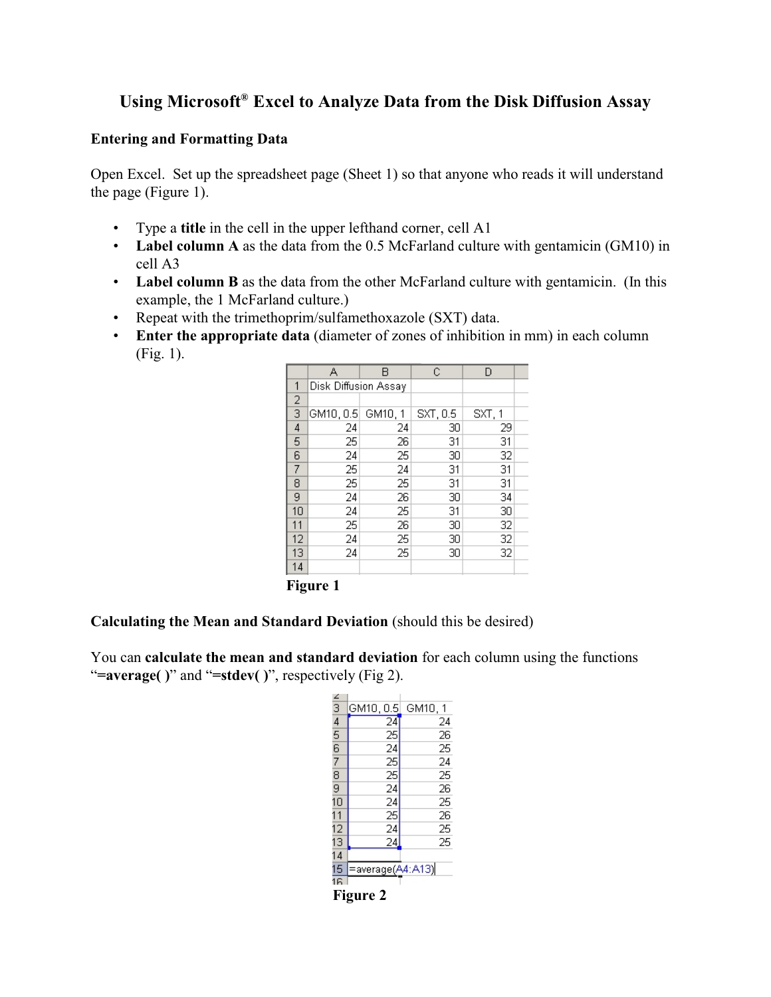# Using Microsoft® Excel to Analyze Data from the Disk Diffusion Assay

## **Entering and Formatting Data**

Open Excel. Set up the spreadsheet page (Sheet 1) so that anyone who reads it will understand the page (Figure 1).

- Type a **title** in the cell in the upper lefthand corner, cell A1
- Label column A as the data from the 0.5 McFarland culture with gentamicin (GM10) in cell A3
- **Label column B** as the data from the other McFarland culture with gentamicin. (In this example, the 1 McFarland culture.)
- Repeat with the trimethoprim/sulfamethoxazole (SXT) data.
- **Enter the appropriate data** (diameter of zones of inhibition in mm) in each column (Fig. 1).

|    | А                    | В       | C        | D      |  |
|----|----------------------|---------|----------|--------|--|
| 1  | Disk Diffusion Assay |         |          |        |  |
| 2  |                      |         |          |        |  |
| 3  | GM10, 0.5            | GM10, 1 | SXT, 0.5 | SXT, 1 |  |
| 4  | 24                   | 24      | 30       | 29     |  |
| 5  | 25                   | 26      | 31       | 31     |  |
| 6  | 24                   | 25      | 30       | 32     |  |
| 7  | 25                   | 24      | 31       | 31     |  |
| 8  | 25                   | 25      | 31       | 31     |  |
| 9  | 24                   | 26      | 30       | 34     |  |
| 10 | 24                   | 25      | 31       | 30     |  |
| 11 | 25                   | 26      | 30       | 32     |  |
| 12 | 24                   | 25      | 30       | 32     |  |
| 13 | 24                   | 25      | 30       | 32     |  |
| 14 |                      |         |          |        |  |
|    |                      |         |          |        |  |

**Figure 1**

## **Calculating the Mean and Standard Deviation** (should this be desired)

You can **calculate the mean and standard deviation** for each column using the functions "**=average( )**" and "**=stdev( )**", respectively (Fig 2).

| $\frac{2}{3}$ $\frac{4}{5}$ | GM10, 0.5         | GM10, 1 |
|-----------------------------|-------------------|---------|
|                             | 24                | 24      |
|                             | $\frac{25}{24}$   | 26      |
|                             |                   | 25      |
| $\frac{6}{7}$               |                   | 24      |
|                             | 25 25 24 24 25 24 | 25      |
| 9                           |                   | 26      |
| 10                          |                   | 25      |
| 11                          |                   | 26      |
| 12                          |                   | 25      |
| 13                          | .<br>و2           | 25      |
| 14                          |                   |         |
| 15                          | =average(A4:A13)  |         |
| 16                          |                   |         |
|                             | Fianro            |         |

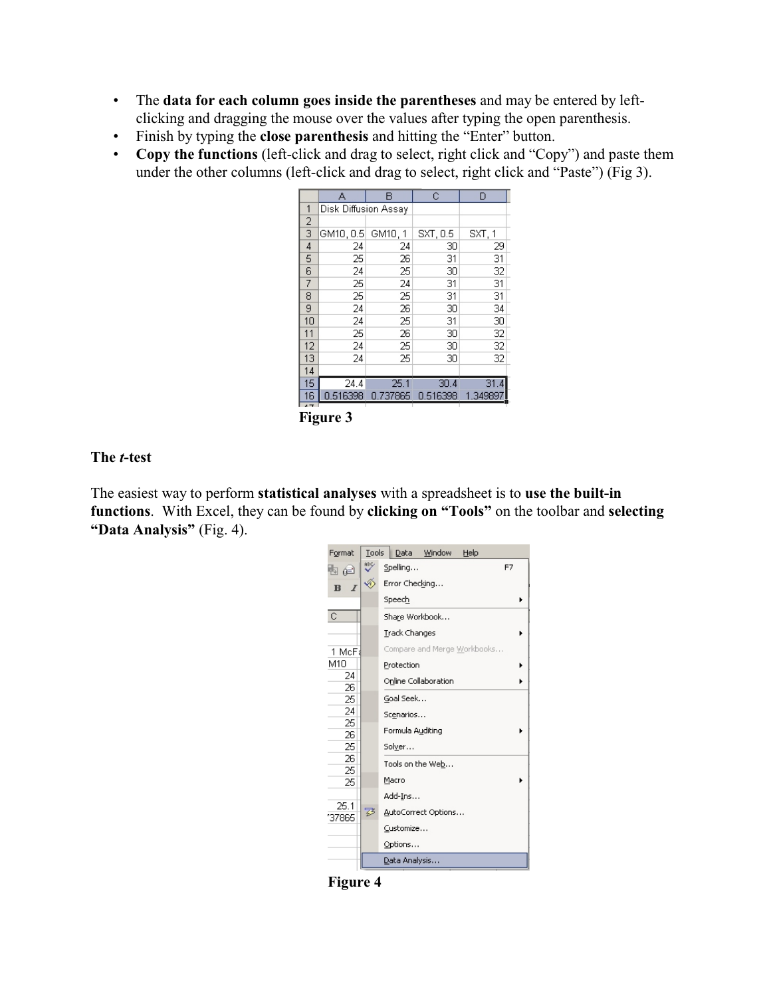- The **data for each column goes inside the parentheses** and may be entered by leftclicking and dragging the mouse over the values after typing the open parenthesis.
- Finish by typing the **close parenthesis** and hitting the "Enter" button.
- **Copy the functions** (left-click and drag to select, right click and "Copy") and paste them under the other columns (left-click and drag to select, right click and "Paste") (Fig 3).

|                | А                    | в        | C        | D       |
|----------------|----------------------|----------|----------|---------|
| 1              | Disk Diffusion Assay |          |          |         |
| $\overline{2}$ |                      |          |          |         |
| 3              | GM10, 0.5            | GM10, 1  | SXT, 0.5 | SXT, 1  |
| 4              | 24                   | 24       | 30       | 29      |
| 5              | 25                   | 26       | 31       | 31      |
| 6              | 24                   | 25       | 30       | 32      |
| 7              | 25                   | 24       | 31       | 31      |
| 8              | 25                   | 25       | 31       | 31      |
| 9              | 24                   | 26       | 30       | 34      |
| 10             | 24                   | 25       | 31       | 30      |
| 11             | 25                   | 26       | 30       | 32      |
| 12             | 24                   | 25       | 30       | 32      |
| 13             | 24                   | 25       | 30       | 32      |
| 14             |                      |          |          |         |
| 15             | 24.4                 | 25.1     | 30.4     | 31.4    |
| 16             | 0.516398             | 0.737865 | 0.516398 | 1.34989 |
| 4 <sub>7</sub> |                      |          |          |         |

**Figure 3**

### **The** *t***-test**

The easiest way to perform **statistical analyses** with a spreadsheet is to **use the built-in functions**. With Excel, they can be found by **clicking on "Tools"** on the toolbar and **selecting "Data Analysis"** (Fig. 4).



**Figure 4**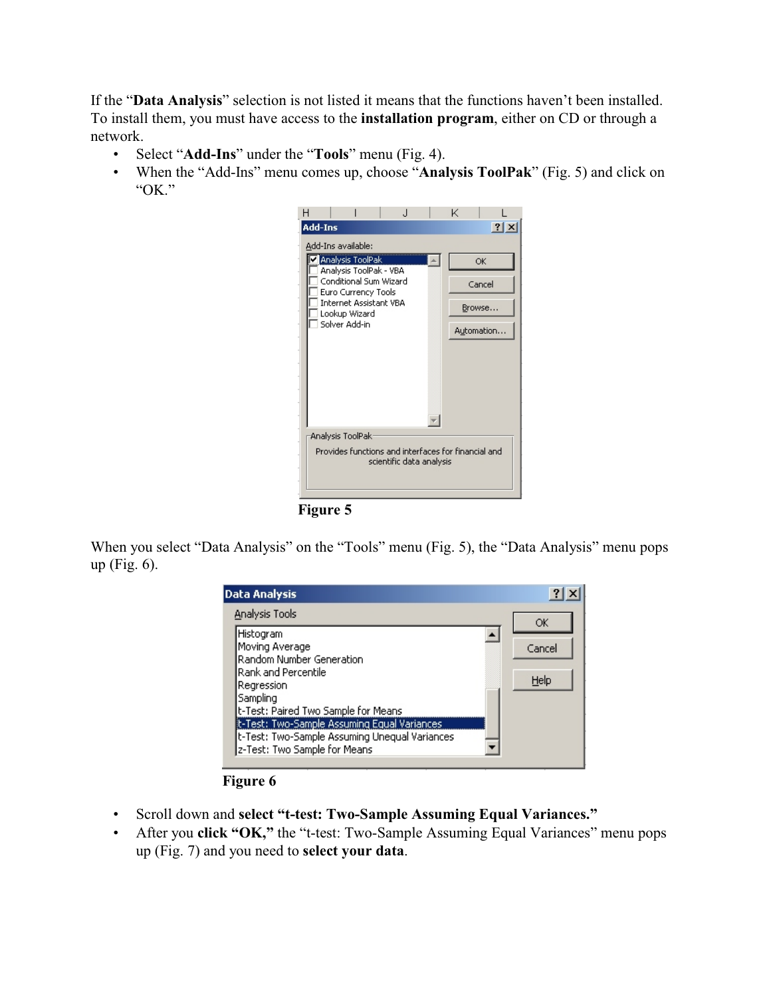If the "**Data Analysis**" selection is not listed it means that the functions haven't been installed. To install them, you must have access to the **installation program**, either on CD or through a network.

- Select "**Add-Ins**" under the "**Tools**" menu (Fig. 4).
- When the "Add-Ins" menu comes up, choose "**Analysis ToolPak**" (Fig. 5) and click on "OK."



**Figure 5**

When you select "Data Analysis" on the "Tools" menu (Fig. 5), the "Data Analysis" menu pops up (Fig. 6).



**Figure 6**

- Scroll down and **select "t-test: Two-Sample Assuming Equal Variances."**
- After you **click "OK,"** the "t-test: Two-Sample Assuming Equal Variances" menu pops up (Fig. 7) and you need to **select your data**.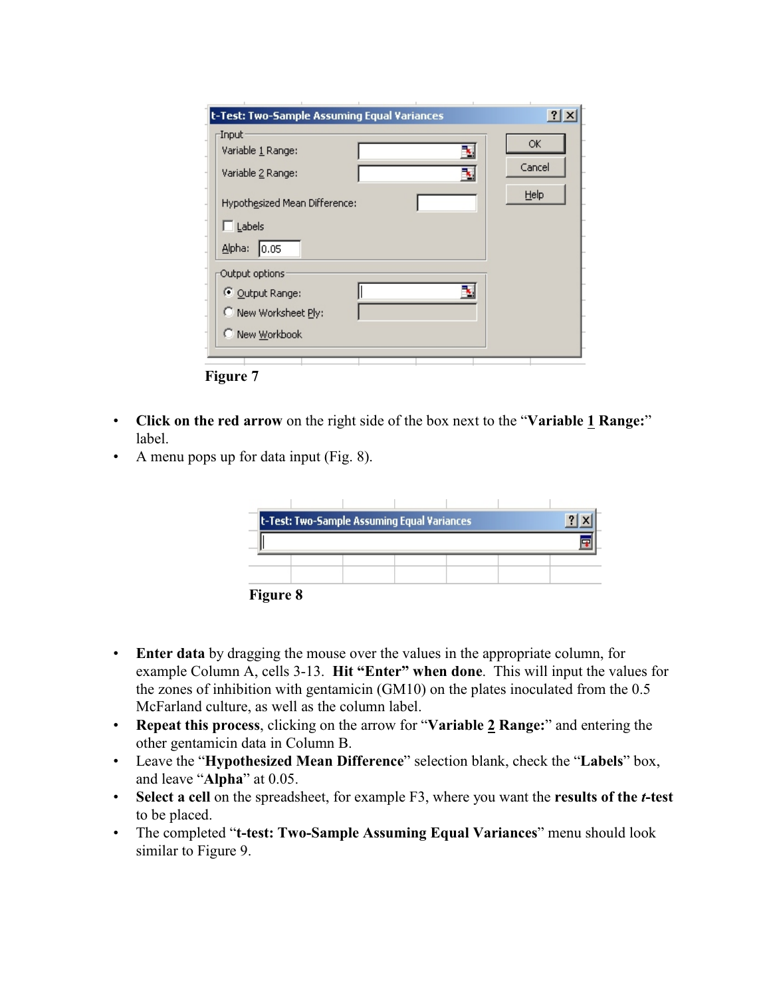| -Input:                       | t-Test: Two-Sample Assuming Equal Variances | $?$ $\times$ |
|-------------------------------|---------------------------------------------|--------------|
| Variable 1 Range:             |                                             | OK.          |
| Variable 2 Range:             |                                             | Cancel       |
| Hypothesized Mean Difference: |                                             | Help         |
| $\Box$ Labels                 |                                             |              |
| Alpha:<br> 0.05               |                                             |              |
| Output options                |                                             |              |
| © Output Range:               |                                             |              |
| C New Worksheet Ply:          |                                             |              |
|                               |                                             |              |

**Figure 7**

- **Click on the red arrow** on the right side of the box next to the "**Variable 1 Range:**" label.
- A menu pops up for data input (Fig. 8).

|          | t-Test: Two-Sample Assuming Equal Variances |  |  |
|----------|---------------------------------------------|--|--|
|          |                                             |  |  |
|          |                                             |  |  |
|          |                                             |  |  |
| Figuro 8 |                                             |  |  |

**Figure 8**

- **Enter data** by dragging the mouse over the values in the appropriate column, for example Column A, cells 3-13. **Hit "Enter" when done**. This will input the values for the zones of inhibition with gentamicin (GM10) on the plates inoculated from the 0.5 McFarland culture, as well as the column label.
- **Repeat this process**, clicking on the arrow for "**Variable 2 Range:**" and entering the other gentamicin data in Column B.
- Leave the "**Hypothesized Mean Difference**" selection blank, check the "**Labels**" box, and leave "**Alpha**" at 0.05.
- **Select a cell** on the spreadsheet, for example F3, where you want the **results of the** *t***-test** to be placed.
- The completed "**t-test: Two-Sample Assuming Equal Variances**" menu should look similar to Figure 9.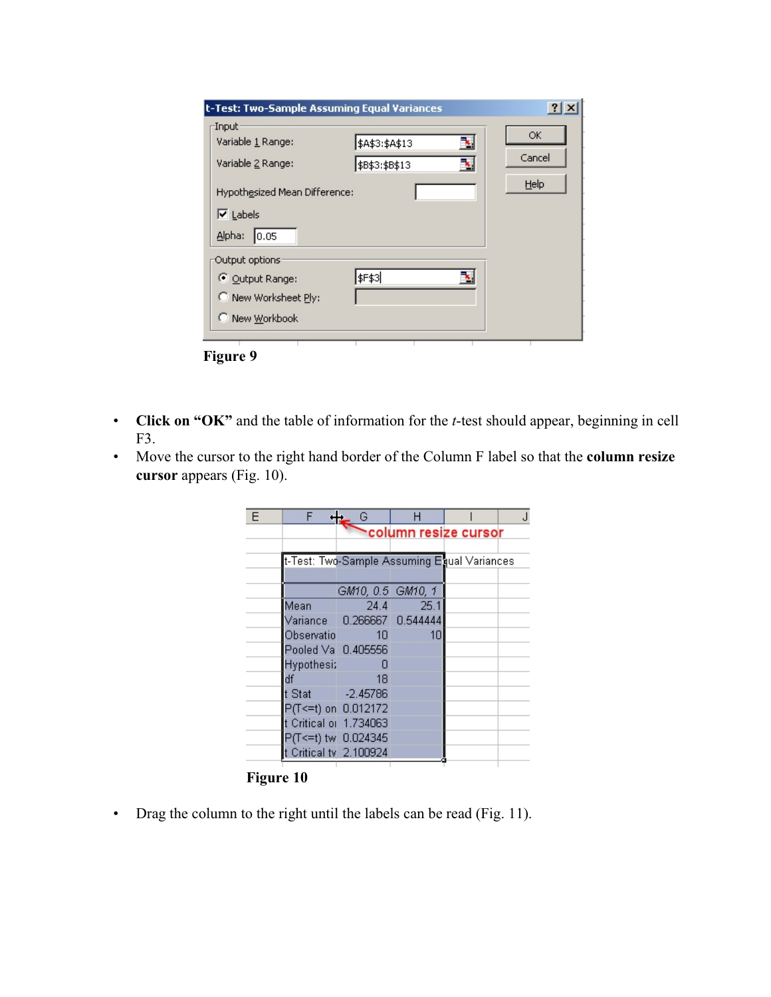| t-Test: Two-Sample Assuming Equal Variances                                      |                                              | $ ?  \times$         |
|----------------------------------------------------------------------------------|----------------------------------------------|----------------------|
| Input<br>Variable 1 Range:<br>Variable 2 Range:<br>Hypothesized Mean Difference: | ×.<br>\$A\$3:\$A\$13<br>٦.<br>\$B\$3:\$B\$13 | ОК<br>Cancel<br>Help |
| $\overline{\triangledown}$ Labels<br>Alpha:<br> 0.05                             |                                              |                      |
| Output options:<br>© Output Range:<br>C New Worksheet Ply:                       | \$F\$3                                       |                      |
| C New Workbook<br><b>Figure 9</b>                                                |                                              |                      |

- **Click on "OK"** and the table of information for the *t*-test should appear, beginning in cell F3.
- Move the cursor to the right hand border of the Column F label so that the **column resize cursor** appears (Fig. 10).

| F | F                                           | G                          | н         |                      |  |
|---|---------------------------------------------|----------------------------|-----------|----------------------|--|
|   |                                             |                            |           | column resize cursor |  |
|   |                                             |                            |           |                      |  |
|   | t-Test: Two-Sample Assuming Equal Variances |                            |           |                      |  |
|   |                                             |                            |           |                      |  |
|   |                                             | GM10, 0.5 GM10, 1          |           |                      |  |
|   | Mean                                        |                            | 24.4 25.1 |                      |  |
|   |                                             | Variance 0.266667 0.544444 |           |                      |  |
|   | Observatio                                  | 1 <sub>0</sub>             | 1Π        |                      |  |
|   | Pooled Va 0.405556                          |                            |           |                      |  |
|   | <b>Hypothesi:</b>                           | n                          |           |                      |  |
|   | df                                          | 18                         |           |                      |  |
|   | t Stat -2.45786                             |                            |           |                      |  |
|   | P(T <= t) on 0.012172                       |                            |           |                      |  |
|   | t Critical or 1.734063                      |                            |           |                      |  |
|   | P(T<=t) tw 0.024345                         |                            |           |                      |  |
|   | t Critical tv 2.100924                      |                            |           |                      |  |
|   |                                             |                            |           |                      |  |

**Figure 10**

• Drag the column to the right until the labels can be read (Fig. 11).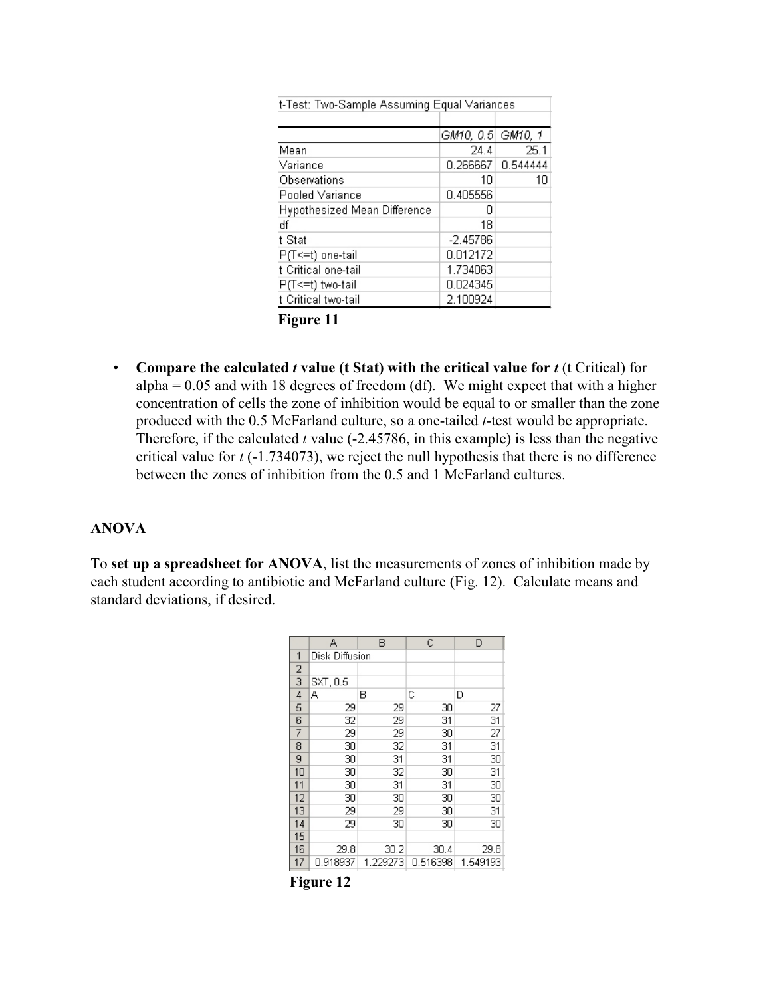| t-Test: Two-Sample Assuming Equal Variances |            |          |  |  |
|---------------------------------------------|------------|----------|--|--|
|                                             |            |          |  |  |
|                                             | GM10, 0.5  | GM10, 1  |  |  |
| Mean                                        | 24.4       | 25.1     |  |  |
| Variance                                    | 0.266667   | 0.544444 |  |  |
| Observations                                | 10         | 10       |  |  |
| Pooled Variance                             | 0.405556   |          |  |  |
| Hypothesized Mean Difference                | n          |          |  |  |
| df                                          | 18         |          |  |  |
| t Stat                                      | $-2.45786$ |          |  |  |
| P(T<=t) one-tail                            | 0.012172   |          |  |  |
| t Critical one-tail                         | 1.734063   |          |  |  |
| P(T<=t) two-tail                            | 0.024345   |          |  |  |
| t Critical two-tail                         | 2.100924   |          |  |  |

**Figure 11**

• **Compare the calculated** *t* **value (t Stat) with the critical value for** *t* (t Critical) for  $alpha = 0.05$  and with 18 degrees of freedom (df). We might expect that with a higher concentration of cells the zone of inhibition would be equal to or smaller than the zone produced with the 0.5 McFarland culture, so a one-tailed *t*-test would be appropriate. Therefore, if the calculated *t* value (-2.45786, in this example) is less than the negative critical value for *t* (-1.734073), we reject the null hypothesis that there is no difference between the zones of inhibition from the 0.5 and 1 McFarland cultures.

## **ANOVA**

To **set up a spreadsheet for ANOVA**, list the measurements of zones of inhibition made by each student according to antibiotic and McFarland culture (Fig. 12). Calculate means and standard deviations, if desired.

|                | А              | В        | C        | D        |
|----------------|----------------|----------|----------|----------|
| 1              | Disk Diffusion |          |          |          |
| $\overline{a}$ |                |          |          |          |
| $\overline{3}$ | SXT, 0.5       |          |          |          |
| $\overline{4}$ | А              | В        | C        | D        |
| 5              | 29             | 29       | 30       | 27       |
| $\overline{6}$ | 32             | 29       | 31       | 31       |
| 7              | 29             | 29       | 30       | 27       |
| 8              | 30             | 32       | 31       | 31       |
| 9              | 30             | 31       | 31       | 30       |
| 10             | 30             | 32       | 30       | 31       |
| 11             | 30             | 31       | 31       | 30       |
| 12             | 30             | 30       | 30       | 30       |
| 13             | 29             | 29       | 30       | 31       |
| 14             | 29             | 30       | 30       | 30       |
| 15             |                |          |          |          |
| 16             | 29.8           | 30.2     | 30.4     | 29.8     |
| 17             | 0.918937       | 1.229273 | 0.516398 | 1.549193 |

**Figure 12**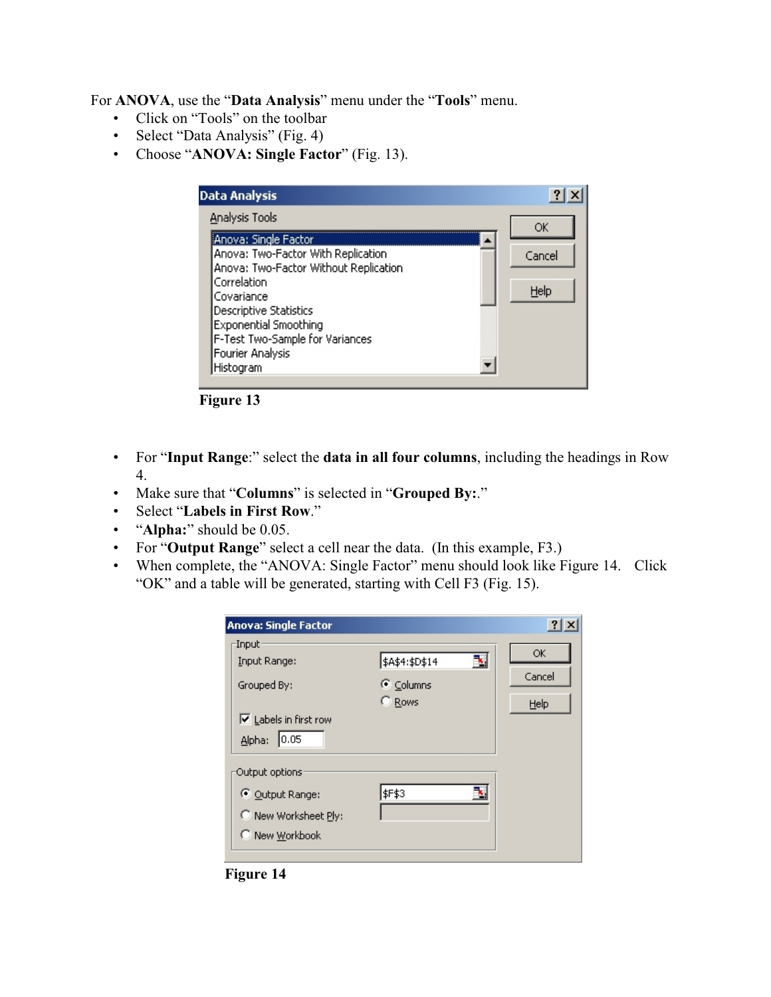For **ANOVA**, use the "**Data Analysis**" menu under the "**Tools**" menu.

- Click on "Tools" on the toolbar
- Select "Data Analysis" (Fig. 4)
- Choose "**ANOVA: Single Factor**" (Fig. 13).

| <b>Data Analysis</b>                                                                                 |        |
|------------------------------------------------------------------------------------------------------|--------|
| Analysis Tools                                                                                       | ОК     |
| iAnova: Single Factor<br>Anova: Two-Factor With Replication<br>Anova: Two-Factor Without Replication | Cancel |
| Correlation<br>Covariance                                                                            | Help   |
| Descriptive Statistics<br>Exponential Smoothing<br>F-Test Two-Sample for Variances                   |        |
| Fourier Analysis<br>Histogram                                                                        |        |



- For "**Input Range**:" select the **data in all four columns**, including the headings in Row 4.
- Make sure that "**Columns**" is selected in "**Grouped By:**."
- Select "**Labels in First Row**."
- "**Alpha:**" should be 0.05.
- For "**Output Range**" select a cell near the data. (In this example, F3.)
- When complete, the "ANOVA: Single Factor" menu should look like Figure 14. Click "OK" and a table will be generated, starting with Cell F3 (Fig. 15).

| <b>Anova: Single Factor</b>                                                                                |                                              |                      |
|------------------------------------------------------------------------------------------------------------|----------------------------------------------|----------------------|
| -Input:<br>Input Range:<br>Grouped By:<br>$\overline{\triangledown}$ Labels in first row<br>0.05<br>Alpha: | \$A\$4:\$D\$14 <br>ъ,<br>C Columns<br>C Rows | OK<br>Cancel<br>Help |
| Output options:<br>© Output Range:<br>New Worksheet Ply:<br>C New Workbook                                 | \$F\$3                                       |                      |

**Figure 14**